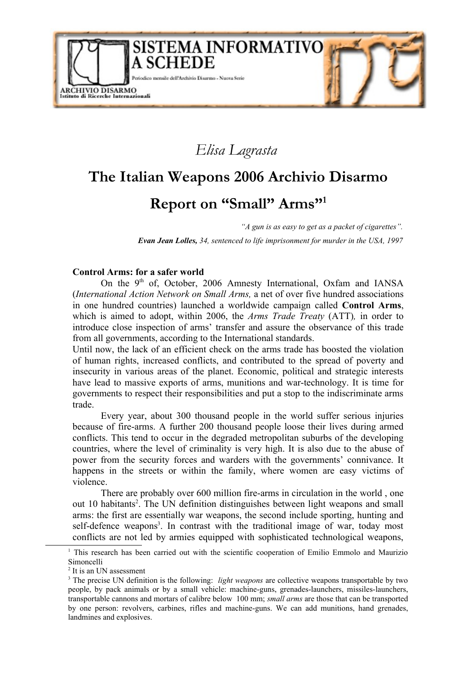

# *Elisa Lagrasta*

# **The Italian Weapons 2006 Archivio Disarmo**

# **Report on "Small" Arms" [1](#page-0-0)**

*"A gun is as easy to get as a packet of cigarettes".*

*Evan Jean Lolles, 34, sentenced to life imprisonment for murder in the USA, 1997*

#### **Control Arms: for a safer world**

On the 9<sup>th</sup> of, October, 2006 Amnesty International, Oxfam and IANSA (*International Action Network on Small Arms,* a net of over five hundred associations in one hundred countries) launched a worldwide campaign called **Control Arms**, which is aimed to adopt, within 2006, the *Arms Trade Treaty* (ATT)*,* in order to introduce close inspection of arms' transfer and assure the observance of this trade from all governments, according to the International standards.

Until now, the lack of an efficient check on the arms trade has boosted the violation of human rights, increased conflicts, and contributed to the spread of poverty and insecurity in various areas of the planet. Economic, political and strategic interests have lead to massive exports of arms, munitions and war-technology. It is time for governments to respect their responsibilities and put a stop to the indiscriminate arms trade.

Every year, about 300 thousand people in the world suffer serious injuries because of fire-arms. A further 200 thousand people loose their lives during armed conflicts. This tend to occur in the degraded metropolitan suburbs of the developing countries, where the level of criminality is very high. It is also due to the abuse of power from the security forces and warders with the governments' connivance. It happens in the streets or within the family, where women are easy victims of violence.

There are probably over 600 million fire-arms in circulation in the world , one out 10 habitants [2](#page-0-1) . The UN definition distinguishes between light weapons and small arms: the first are essentially war weapons, the second include sporting, hunting and self-defence weapons<sup>[3](#page-0-2)</sup>. In contrast with the traditional image of war, today most conflicts are not led by armies equipped with sophisticated technological weapons,

<span id="page-0-0"></span><sup>&</sup>lt;sup>1</sup> This research has been carried out with the scientific cooperation of Emilio Emmolo and Maurizio Simoncelli

<span id="page-0-1"></span><sup>&</sup>lt;sup>2</sup> It is an UN assessment

<span id="page-0-2"></span><sup>3</sup> The precise UN definition is the following: *light weapons* are collective weapons transportable by two people, by pack animals or by a small vehicle: machine-guns, grenades-launchers, missiles-launchers, transportable cannons and mortars of calibre below 100 mm; *small arms* are those that can be transported by one person: revolvers, carbines, rifles and machine-guns. We can add munitions, hand grenades, landmines and explosives.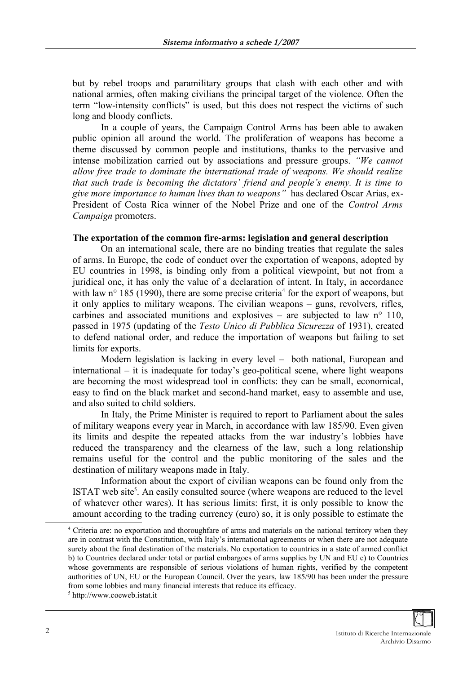but by rebel troops and paramilitary groups that clash with each other and with national armies, often making civilians the principal target of the violence. Often the term "low-intensity conflicts" is used, but this does not respect the victims of such long and bloody conflicts.

In a couple of years, the Campaign Control Arms has been able to awaken public opinion all around the world. The proliferation of weapons has become a theme discussed by common people and institutions, thanks to the pervasive and intense mobilization carried out by associations and pressure groups. *"We cannot allow free trade to dominate the international trade of weapons. We should realize that such trade is becoming the dictators' friend and people's enemy. It is time to give more importance to human lives than to weapons"* has declared Oscar Arias, ex-President of Costa Rica winner of the Nobel Prize and one of the *Control Arms Campaign* promoters.

### **The exportation of the common fire-arms: legislation and general description**

On an international scale, there are no binding treaties that regulate the sales of arms. In Europe, the code of conduct over the exportation of weapons, adopted by EU countries in 1998, is binding only from a political viewpoint, but not from a juridical one, it has only the value of a declaration of intent. In Italy, in accordance with law  $n^{\circ}$  185 (1990), there are some precise criteria<sup>[4](#page-1-0)</sup> for the export of weapons, but it only applies to military weapons. The civilian weapons – guns, revolvers, rifles, carbines and associated munitions and explosives – are subjected to law  $n^{\circ}$  110, passed in 1975 (updating of the *Testo Unico di Pubblica Sicurezza* of 1931), created to defend national order, and reduce the importation of weapons but failing to set limits for exports.

Modern legislation is lacking in every level – both national, European and international – it is inadequate for today's geo-political scene, where light weapons are becoming the most widespread tool in conflicts: they can be small, economical, easy to find on the black market and second-hand market, easy to assemble and use, and also suited to child soldiers.

In Italy, the Prime Minister is required to report to Parliament about the sales of military weapons every year in March, in accordance with law 185/90. Even given its limits and despite the repeated attacks from the war industry's lobbies have reduced the transparency and the clearness of the law, such a long relationship remains useful for the control and the public monitoring of the sales and the destination of military weapons made in Italy.

Information about the export of civilian weapons can be found only from the ISTAT web site<sup>[5](#page-1-1)</sup>. An easily consulted source (where weapons are reduced to the level of whatever other wares). It has serious limits: first, it is only possible to know the amount according to the trading currency (euro) so, it is only possible to estimate the



<span id="page-1-0"></span><sup>4</sup> Criteria are: no exportation and thoroughfare of arms and materials on the national territory when they are in contrast with the Constitution, with Italy's international agreements or when there are not adequate surety about the final destination of the materials. No exportation to countries in a state of armed conflict b) to Countries declared under total or partial embargoes of arms supplies by UN and EU c) to Countries whose governments are responsible of serious violations of human rights, verified by the competent authorities of UN, EU or the European Council. Over the years, law 185/90 has been under the pressure from some lobbies and many financial interests that reduce its efficacy.

<span id="page-1-1"></span><sup>5</sup> http://www.coeweb.istat.it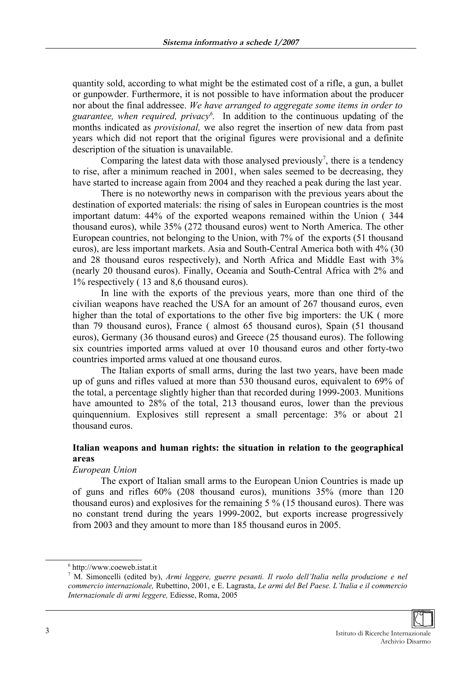quantity sold, according to what might be the estimated cost of a rifle, a gun, a bullet or gunpowder. Furthermore, it is not possible to have information about the producer nor about the final addressee. *We have arranged to aggregate some items in order to guarantee, when required, privacy [6](#page-2-0) .* In addition to the continuous updating of the months indicated as *provisional,* we also regret the insertion of new data from past years which did not report that the original figures were provisional and a definite description of the situation is unavailable.

Comparing the latest data with those analysed previously<sup>[7](#page-2-1)</sup>, there is a tendency to rise, after a minimum reached in 2001, when sales seemed to be decreasing, they have started to increase again from 2004 and they reached a peak during the last year.

There is no noteworthy news in comparison with the previous years about the destination of exported materials: the rising of sales in European countries is the most important datum: 44% of the exported weapons remained within the Union ( 344 thousand euros), while 35% (272 thousand euros) went to North America. The other European countries, not belonging to the Union, with 7% of the exports (51 thousand euros), are less important markets. Asia and South-Central America both with 4% (30 and 28 thousand euros respectively), and North Africa and Middle East with 3% (nearly 20 thousand euros). Finally, Oceania and South-Central Africa with 2% and 1% respectively ( 13 and 8,6 thousand euros).

In line with the exports of the previous years, more than one third of the civilian weapons have reached the USA for an amount of 267 thousand euros, even higher than the total of exportations to the other five big importers: the UK ( more than 79 thousand euros), France ( almost 65 thousand euros), Spain (51 thousand euros), Germany (36 thousand euros) and Greece (25 thousand euros). The following six countries imported arms valued at over 10 thousand euros and other forty-two countries imported arms valued at one thousand euros.

The Italian exports of small arms, during the last two years, have been made up of guns and rifles valued at more than 530 thousand euros, equivalent to 69% of the total, a percentage slightly higher than that recorded during 1999-2003. Munitions have amounted to 28% of the total, 213 thousand euros, lower than the previous quinquennium. Explosives still represent a small percentage: 3% or about 21 thousand euros.

# **Italian weapons and human rights: the situation in relation to the geographical areas**

#### *European Union*

The export of Italian small arms to the European Union Countries is made up of guns and rifles 60% (208 thousand euros), munitions 35% (more than 120 thousand euros) and explosives for the remaining 5 % (15 thousand euros). There was no constant trend during the years 1999-2002, but exports increase progressively from 2003 and they amount to more than 185 thousand euros in 2005.

<span id="page-2-1"></span><sup>7</sup> M. Simoncelli (edited by), *Armi leggere, guerre pesanti. Il ruolo dell'Italia nella produzione e nel commercio internazionale,* Rubettino, 2001, e E. Lagrasta, *Le armi del Bel Paese. L'Italia e il commercio Internazionale di armi leggere,* Ediesse, Roma, 2005



<span id="page-2-0"></span><sup>6</sup> http://www.coeweb.istat.it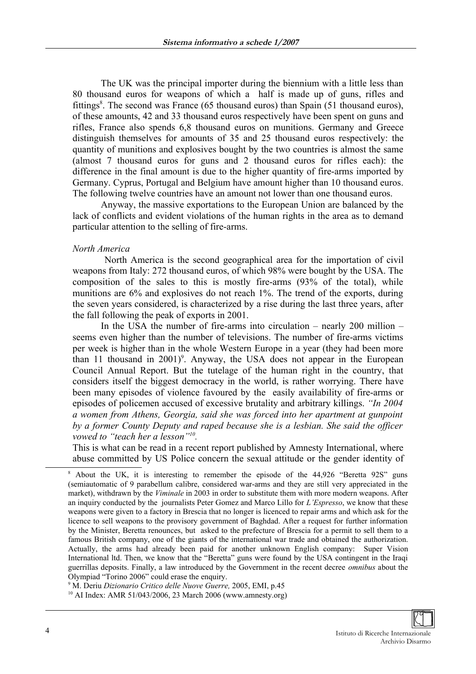The UK was the principal importer during the biennium with a little less than 80 thousand euros for weapons of which a half is made up of guns, rifles and fittings<sup>[8](#page-3-0)</sup>. The second was France (65 thousand euros) than Spain (51 thousand euros), of these amounts, 42 and 33 thousand euros respectively have been spent on guns and rifles, France also spends 6,8 thousand euros on munitions. Germany and Greece distinguish themselves for amounts of 35 and 25 thousand euros respectively: the quantity of munitions and explosives bought by the two countries is almost the same (almost 7 thousand euros for guns and 2 thousand euros for rifles each): the difference in the final amount is due to the higher quantity of fire-arms imported by Germany. Cyprus, Portugal and Belgium have amount higher than 10 thousand euros. The following twelve countries have an amount not lower than one thousand euros.

Anyway, the massive exportations to the European Union are balanced by the lack of conflicts and evident violations of the human rights in the area as to demand particular attention to the selling of fire-arms.

#### *North America*

North America is the second geographical area for the importation of civil weapons from Italy: 272 thousand euros, of which 98% were bought by the USA. The composition of the sales to this is mostly fire-arms (93% of the total), while munitions are 6% and explosives do not reach 1%. The trend of the exports, during the seven years considered, is characterized by a rise during the last three years, after the fall following the peak of exports in 2001.

In the USA the number of fire-arms into circulation – nearly 200 million – seems even higher than the number of televisions. The number of fire-arms victims per week is higher than in the whole Western Europe in a year (they had been more than 11 thousand in 2001)<sup>[9](#page-3-1)</sup>. Anyway, the USA does not appear in the European Council Annual Report. But the tutelage of the human right in the country, that considers itself the biggest democracy in the world, is rather worrying. There have been many episodes of violence favoured by the easily availability of fire-arms or episodes of policemen accused of excessive brutality and arbitrary killings. *"In 2004 a women from Athens, Georgia, said she was forced into her apartment at gunpoint by a former County Deputy and raped because she is a lesbian. She said the officer vowed to "teach her a lesson"[10](#page-3-2) .*

This is what can be read in a recent report published by Amnesty International, where abuse committed by US Police concern the sexual attitude or the gender identity of

<span id="page-3-0"></span><sup>&</sup>lt;sup>8</sup> About the UK, it is interesting to remember the episode of the 44,926 "Beretta 92S" guns (semiautomatic of 9 parabellum calibre, considered war-arms and they are still very appreciated in the market), withdrawn by the *Viminale* in 2003 in order to substitute them with more modern weapons. After an inquiry conducted by the journalists Peter Gomez and Marco Lillo for *L'Espresso*, we know that these weapons were given to a factory in Brescia that no longer is licenced to repair arms and which ask for the licence to sell weapons to the provisory government of Baghdad. After a request for further information by the Minister, Beretta renounces, but asked to the prefecture of Brescia for a permit to sell them to a famous British company, one of the giants of the international war trade and obtained the authorization. Actually, the arms had already been paid for another unknown English company: Super Vision International ltd. Then, we know that the "Beretta" guns were found by the USA contingent in the Iraqi guerrillas deposits. Finally, a law introduced by the Government in the recent decree *omnibus* about the Olympiad "Torino 2006" could erase the enquiry.

<span id="page-3-1"></span><sup>9</sup> M. Deriu *Dizionario Critico delle Nuove Guerre,* 2005, EMI, p.45

<span id="page-3-2"></span><sup>10</sup> AI Index: AMR 51/043/2006, 23 March 2006 (www.amnesty.org)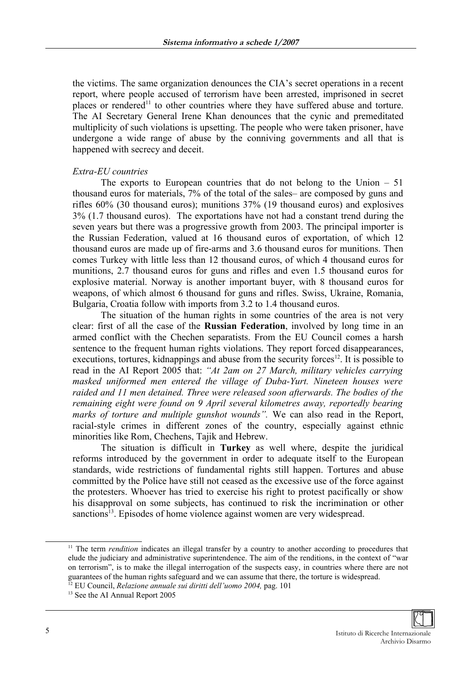the victims. The same organization denounces the CIA's secret operations in a recent report, where people accused of terrorism have been arrested, imprisoned in secret places or rendered<sup>[11](#page-4-0)</sup> to other countries where they have suffered abuse and torture. The AI Secretary General Irene Khan denounces that the cynic and premeditated multiplicity of such violations is upsetting. The people who were taken prisoner, have undergone a wide range of abuse by the conniving governments and all that is happened with secrecy and deceit.

#### *Extra-EU countries*

The exports to European countries that do not belong to the Union  $-51$ thousand euros for materials, 7% of the total of the sales– are composed by guns and rifles 60% (30 thousand euros); munitions 37% (19 thousand euros) and explosives 3% (1.7 thousand euros). The exportations have not had a constant trend during the seven years but there was a progressive growth from 2003. The principal importer is the Russian Federation, valued at 16 thousand euros of exportation, of which 12 thousand euros are made up of fire-arms and 3.6 thousand euros for munitions. Then comes Turkey with little less than 12 thousand euros, of which 4 thousand euros for munitions, 2.7 thousand euros for guns and rifles and even 1.5 thousand euros for explosive material. Norway is another important buyer, with 8 thousand euros for weapons, of which almost 6 thousand for guns and rifles. Swiss, Ukraine, Romania, Bulgaria, Croatia follow with imports from 3.2 to 1.4 thousand euros.

The situation of the human rights in some countries of the area is not very clear: first of all the case of the **Russian Federation**, involved by long time in an armed conflict with the Chechen separatists. From the EU Council comes a harsh sentence to the frequent human rights violations. They report forced disappearances, executions, tortures, kidnappings and abuse from the security forces<sup>[12](#page-4-1)</sup>. It is possible to read in the AI Report 2005 that: *"At 2am on 27 March, military vehicles carrying masked uniformed men entered the village of Duba-Yurt. Nineteen houses were raided and 11 men detained. Three were released soon afterwards. The bodies of the remaining eight were found on 9 April several kilometres away, reportedly bearing marks of torture and multiple gunshot wounds".* We can also read in the Report, racial-style crimes in different zones of the country, especially against ethnic minorities like Rom, Chechens, Tajik and Hebrew.

The situation is difficult in **Turkey** as well where, despite the juridical reforms introduced by the government in order to adequate itself to the European standards, wide restrictions of fundamental rights still happen. Tortures and abuse committed by the Police have still not ceased as the excessive use of the force against the protesters. Whoever has tried to exercise his right to protest pacifically or show his disapproval on some subjects, has continued to risk the incrimination or other sanctions<sup>[13](#page-4-2)</sup>. Episodes of home violence against women are very widespread.



<span id="page-4-0"></span><sup>&</sup>lt;sup>11</sup> The term *rendition* indicates an illegal transfer by a country to another according to procedures that elude the judiciary and administrative superintendence. The aim of the renditions, in the context of "war on terrorism", is to make the illegal interrogation of the suspects easy, in countries where there are not guarantees of the human rights safeguard and we can assume that there, the torture is widespread. <sup>12</sup> EU Council, *Relazione annuale sui diritti dell'uomo 2004,* pag. 101

<span id="page-4-2"></span><span id="page-4-1"></span><sup>&</sup>lt;sup>13</sup> See the AI Annual Report 2005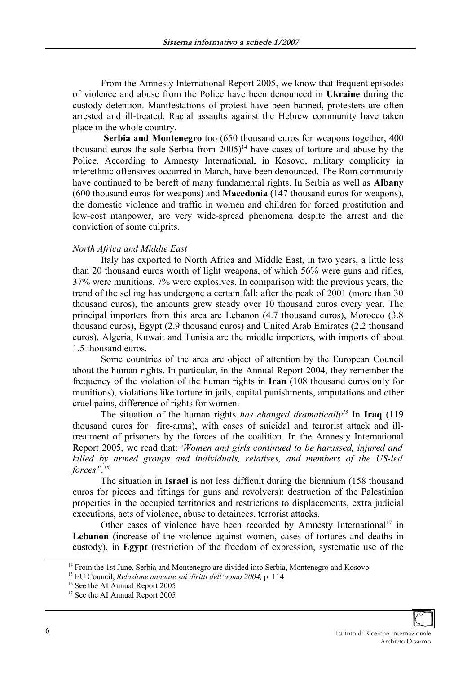From the Amnesty International Report 2005, we know that frequent episodes of violence and abuse from the Police have been denounced in **Ukraine** during the custody detention. Manifestations of protest have been banned, protesters are often arrested and ill-treated. Racial assaults against the Hebrew community have taken place in the whole country.

**Serbia and Montenegro** too (650 thousand euros for weapons together, 400 thousand euros the sole Serbia from  $2005$ <sup>[14](#page-5-0)</sup> have cases of torture and abuse by the Police. According to Amnesty International, in Kosovo, military complicity in interethnic offensives occurred in March, have been denounced. The Rom community have continued to be bereft of many fundamental rights. In Serbia as well as **Albany** (600 thousand euros for weapons) and **Macedonia** (147 thousand euros for weapons), the domestic violence and traffic in women and children for forced prostitution and low-cost manpower, are very wide-spread phenomena despite the arrest and the conviction of some culprits.

#### *North Africa and Middle East*

Italy has exported to North Africa and Middle East, in two years, a little less than 20 thousand euros worth of light weapons, of which 56% were guns and rifles, 37% were munitions, 7% were explosives. In comparison with the previous years, the trend of the selling has undergone a certain fall: after the peak of 2001 (more than 30 thousand euros), the amounts grew steady over 10 thousand euros every year. The principal importers from this area are Lebanon (4.7 thousand euros), Morocco (3.8 thousand euros), Egypt (2.9 thousand euros) and United Arab Emirates (2.2 thousand euros). Algeria, Kuwait and Tunisia are the middle importers, with imports of about 1.5 thousand euros.

Some countries of the area are object of attention by the European Council about the human rights. In particular, in the Annual Report 2004, they remember the frequency of the violation of the human rights in **Iran** (108 thousand euros only for munitions), violations like torture in jails, capital punishments, amputations and other cruel pains, difference of rights for women.

The situation of the human rights *has changed dramatically [15](#page-5-1)* In **Iraq** (119 thousand euros for fire-arms), with cases of suicidal and terrorist attack and illtreatment of prisoners by the forces of the coalition. In the Amnesty International Report 2005, we read that: "*Women and girls continued to be harassed, injured and killed by armed groups and individuals, relatives, and members of the US-led forces". [16](#page-5-2)*

The situation in **Israel** is not less difficult during the biennium (158 thousand euros for pieces and fittings for guns and revolvers): destruction of the Palestinian properties in the occupied territories and restrictions to displacements, extra judicial executions, acts of violence, abuse to detainees, terrorist attacks.

Other cases of violence have been recorded by Amnesty International<sup>[17](#page-5-3)</sup> in **Lebanon** (increase of the violence against women, cases of tortures and deaths in custody), in **Egypt** (restriction of the freedom of expression, systematic use of the



<span id="page-5-0"></span><sup>&</sup>lt;sup>14</sup> From the 1st June, Serbia and Montenegro are divided into Serbia, Montenegro and Kosovo

<span id="page-5-1"></span><sup>15</sup> EU Council, *Relazione annuale sui diritti dell'uomo 2004,* p. 114

<span id="page-5-2"></span><sup>&</sup>lt;sup>16</sup> See the AI Annual Report 2005

<span id="page-5-3"></span><sup>&</sup>lt;sup>17</sup> See the AI Annual Report 2005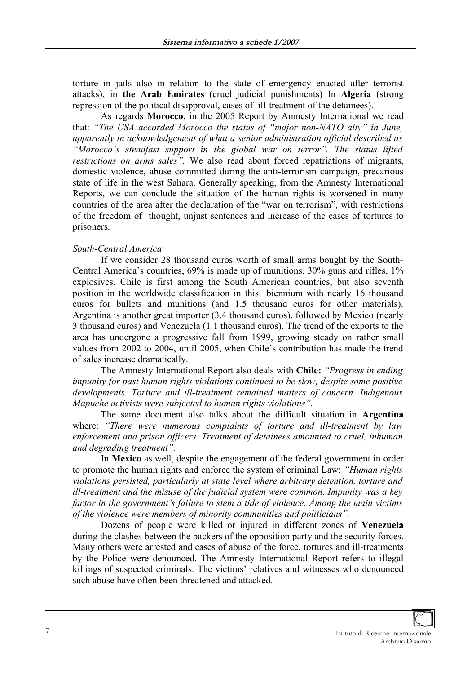torture in jails also in relation to the state of emergency enacted after terrorist attacks), in **the Arab Emirates** (cruel judicial punishments) In **Algeria** (strong repression of the political disapproval, cases of ill-treatment of the detainees).

As regards **Morocco**, in the 2005 Report by Amnesty International we read that: *"The USA accorded Morocco the status of "major non-NATO ally" in June, apparently in acknowledgement of what a senior administration official described as "Morocco's steadfast support in the global war on terror". The status lifted restrictions on arms sales".* We also read about forced repatriations of migrants, domestic violence, abuse committed during the anti-terrorism campaign, precarious state of life in the west Sahara. Generally speaking, from the Amnesty International Reports, we can conclude the situation of the human rights is worsened in many countries of the area after the declaration of the "war on terrorism", with restrictions of the freedom of thought, unjust sentences and increase of the cases of tortures to prisoners.

### *South-Central America*

If we consider 28 thousand euros worth of small arms bought by the South-Central America's countries, 69% is made up of munitions, 30% guns and rifles, 1% explosives. Chile is first among the South American countries, but also seventh position in the worldwide classification in this biennium with nearly 16 thousand euros for bullets and munitions (and 1.5 thousand euros for other materials). Argentina is another great importer (3.4 thousand euros), followed by Mexico (nearly 3 thousand euros) and Venezuela (1.1 thousand euros). The trend of the exports to the area has undergone a progressive fall from 1999, growing steady on rather small values from 2002 to 2004, until 2005, when Chile's contribution has made the trend of sales increase dramatically.

The Amnesty International Report also deals with **Chile:** *"Progress in ending impunity for past human rights violations continued to be slow, despite some positive developments. Torture and ill-treatment remained matters of concern. Indigenous Mapuche activists were subjected to human rights violations".*

The same document also talks about the difficult situation in **Argentina** where: *"There were numerous complaints of torture and ill-treatment by law enforcement and prison officers. Treatment of detainees amounted to cruel, inhuman and degrading treatment".* 

In **Mexico** as well, despite the engagement of the federal government in order to promote the human rights and enforce the system of criminal Law: *"Human rights violations persisted, particularly at state level where arbitrary detention, torture and ill-treatment and the misuse of the judicial system were common. Impunity was a key factor in the government's failure to stem a tide of violence. Among the main victims of the violence were members of minority communities and politicians".*

Dozens of people were killed or injured in different zones of **Venezuela** during the clashes between the backers of the opposition party and the security forces. Many others were arrested and cases of abuse of the force, tortures and ill-treatments by the Police were denounced. The Amnesty International Report refers to illegal killings of suspected criminals. The victims' relatives and witnesses who denounced such abuse have often been threatened and attacked.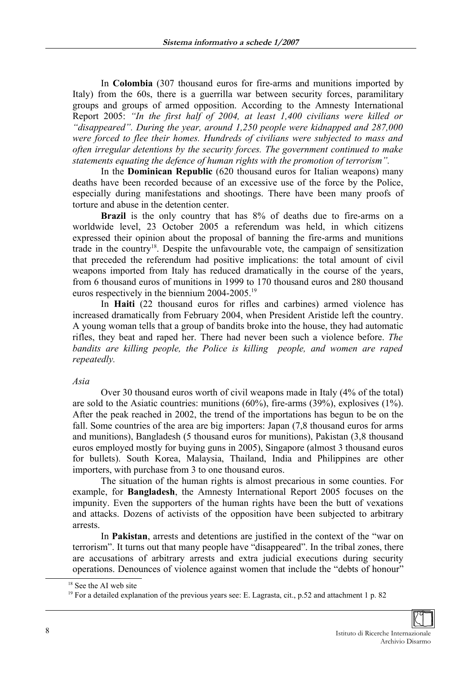In **Colombia** (307 thousand euros for fire-arms and munitions imported by Italy) from the 60s, there is a guerrilla war between security forces, paramilitary groups and groups of armed opposition. According to the Amnesty International Report 2005: *"In the first half of 2004, at least 1,400 civilians were killed or "disappeared". During the year, around 1,250 people were kidnapped and 287,000 were forced to flee their homes. Hundreds of civilians were subjected to mass and often irregular detentions by the security forces. The government continued to make statements equating the defence of human rights with the promotion of terrorism".*

In the **Dominican Republic** (620 thousand euros for Italian weapons) many deaths have been recorded because of an excessive use of the force by the Police, especially during manifestations and shootings. There have been many proofs of torture and abuse in the detention center.

**Brazil** is the only country that has  $8\%$  of deaths due to fire-arms on a worldwide level, 23 October 2005 a referendum was held, in which citizens expressed their opinion about the proposal of banning the fire-arms and munitions trade in the country<sup>[18](#page-7-0)</sup>. Despite the unfavourable vote, the campaign of sensitization that preceded the referendum had positive implications: the total amount of civil weapons imported from Italy has reduced dramatically in the course of the years, from 6 thousand euros of munitions in 1999 to 170 thousand euros and 280 thousand euros respectively in the biennium 2004-2005.[19](#page-7-1)

In **Haiti** (22 thousand euros for rifles and carbines) armed violence has increased dramatically from February 2004, when President Aristide left the country. A young woman tells that a group of bandits broke into the house, they had automatic rifles, they beat and raped her. There had never been such a violence before. *The bandits are killing people, the Police is killing people, and women are raped repeatedly.*

#### *Asia*

Over 30 thousand euros worth of civil weapons made in Italy (4% of the total) are sold to the Asiatic countries: munitions (60%), fire-arms (39%), explosives (1%). After the peak reached in 2002, the trend of the importations has begun to be on the fall. Some countries of the area are big importers: Japan (7,8 thousand euros for arms and munitions), Bangladesh (5 thousand euros for munitions), Pakistan (3,8 thousand euros employed mostly for buying guns in 2005), Singapore (almost 3 thousand euros for bullets). South Korea, Malaysia, Thailand, India and Philippines are other importers, with purchase from 3 to one thousand euros.

The situation of the human rights is almost precarious in some counties. For example, for **Bangladesh**, the Amnesty International Report 2005 focuses on the impunity. Even the supporters of the human rights have been the butt of vexations and attacks. Dozens of activists of the opposition have been subjected to arbitrary arrests.

In **Pakistan**, arrests and detentions are justified in the context of the "war on terrorism". It turns out that many people have "disappeared". In the tribal zones, there are accusations of arbitrary arrests and extra judicial executions during security operations. Denounces of violence against women that include the "debts of honour"

<span id="page-7-0"></span><sup>&</sup>lt;sup>18</sup> See the AI web site

<span id="page-7-1"></span><sup>&</sup>lt;sup>19</sup> For a detailed explanation of the previous years see: E. Lagrasta, cit., p.52 and attachment 1 p. 82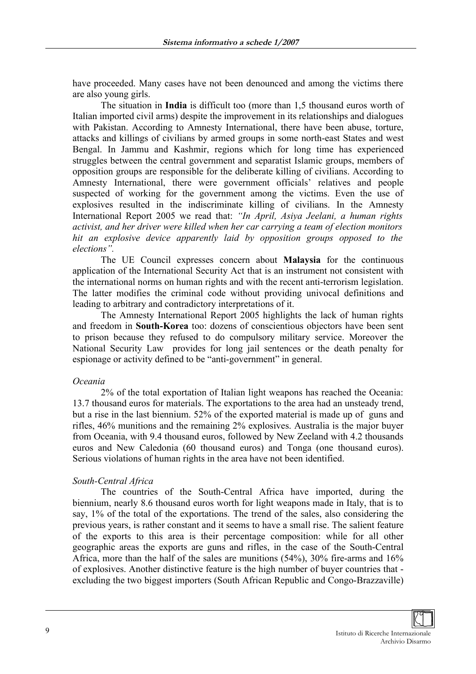have proceeded. Many cases have not been denounced and among the victims there are also young girls.

The situation in **India** is difficult too (more than 1,5 thousand euros worth of Italian imported civil arms) despite the improvement in its relationships and dialogues with Pakistan. According to Amnesty International, there have been abuse, torture, attacks and killings of civilians by armed groups in some north-east States and west Bengal. In Jammu and Kashmir, regions which for long time has experienced struggles between the central government and separatist Islamic groups, members of opposition groups are responsible for the deliberate killing of civilians. According to Amnesty International, there were government officials' relatives and people suspected of working for the government among the victims. Even the use of explosives resulted in the indiscriminate killing of civilians. In the Amnesty International Report 2005 we read that: *"In April, Asiya Jeelani, a human rights activist, and her driver were killed when her car carrying a team of election monitors hit an explosive device apparently laid by opposition groups opposed to the elections".*

The UE Council expresses concern about **Malaysia** for the continuous application of the International Security Act that is an instrument not consistent with the international norms on human rights and with the recent anti-terrorism legislation. The latter modifies the criminal code without providing univocal definitions and leading to arbitrary and contradictory interpretations of it.

The Amnesty International Report 2005 highlights the lack of human rights and freedom in **South-Korea** too: dozens of conscientious objectors have been sent to prison because they refused to do compulsory military service. Moreover the National Security Law provides for long jail sentences or the death penalty for espionage or activity defined to be "anti-government" in general.

#### *Oceania*

2% of the total exportation of Italian light weapons has reached the Oceania: 13.7 thousand euros for materials. The exportations to the area had an unsteady trend, but a rise in the last biennium. 52% of the exported material is made up of guns and rifles, 46% munitions and the remaining 2% explosives. Australia is the major buyer from Oceania, with 9.4 thousand euros, followed by New Zeeland with 4.2 thousands euros and New Caledonia (60 thousand euros) and Tonga (one thousand euros). Serious violations of human rights in the area have not been identified.

# *South-Central Africa*

The countries of the South-Central Africa have imported, during the biennium, nearly 8.6 thousand euros worth for light weapons made in Italy, that is to say, 1% of the total of the exportations. The trend of the sales, also considering the previous years, is rather constant and it seems to have a small rise. The salient feature of the exports to this area is their percentage composition: while for all other geographic areas the exports are guns and rifles, in the case of the South-Central Africa, more than the half of the sales are munitions (54%), 30% fire-arms and 16% of explosives. Another distinctive feature is the high number of buyer countries that excluding the two biggest importers (South African Republic and Congo-Brazzaville)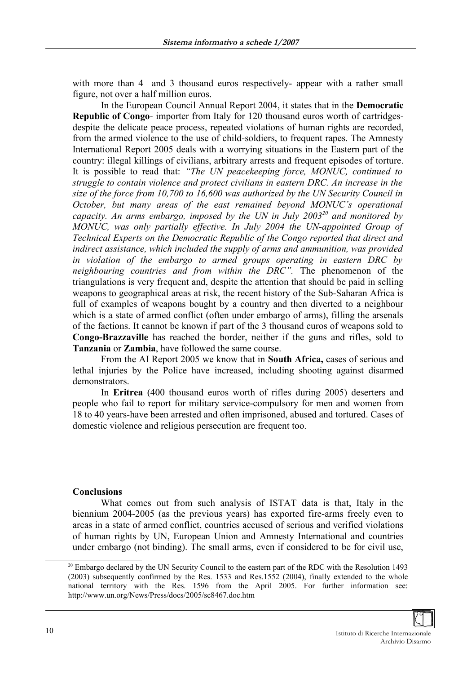with more than 4 and 3 thousand euros respectively- appear with a rather small figure, not over a half million euros.

In the European Council Annual Report 2004, it states that in the **Democratic Republic of Congo**- importer from Italy for 120 thousand euros worth of cartridgesdespite the delicate peace process, repeated violations of human rights are recorded, from the armed violence to the use of child-soldiers, to frequent rapes. The Amnesty International Report 2005 deals with a worrying situations in the Eastern part of the country: illegal killings of civilians, arbitrary arrests and frequent episodes of torture. It is possible to read that: *"The UN peacekeeping force, MONUC, continued to struggle to contain violence and protect civilians in eastern DRC. An increase in the size of the force from 10,700 to 16,600 was authorized by the UN Security Council in October, but many areas of the east remained beyond MONUC's operational capacity. An arms embargo, imposed by the UN in July 2003[20](#page-9-0) and monitored by MONUC, was only partially effective. In July 2004 the UN-appointed Group of Technical Experts on the Democratic Republic of the Congo reported that direct and indirect assistance, which included the supply of arms and ammunition, was provided in violation of the embargo to armed groups operating in eastern DRC by neighbouring countries and from within the DRC".* The phenomenon of the triangulations is very frequent and, despite the attention that should be paid in selling weapons to geographical areas at risk, the recent history of the Sub-Saharan Africa is full of examples of weapons bought by a country and then diverted to a neighbour which is a state of armed conflict (often under embargo of arms), filling the arsenals of the factions. It cannot be known if part of the 3 thousand euros of weapons sold to **Congo-Brazzaville** has reached the border, neither if the guns and rifles, sold to **Tanzania** or **Zambia**, have followed the same course.

From the AI Report 2005 we know that in **South Africa,** cases of serious and lethal injuries by the Police have increased, including shooting against disarmed demonstrators.

In **Eritrea** (400 thousand euros worth of rifles during 2005) deserters and people who fail to report for military service-compulsory for men and women from 18 to 40 years-have been arrested and often imprisoned, abused and tortured. Cases of domestic violence and religious persecution are frequent too.

# **Conclusions**

What comes out from such analysis of ISTAT data is that, Italy in the biennium 2004-2005 (as the previous years) has exported fire-arms freely even to areas in a state of armed conflict, countries accused of serious and verified violations of human rights by UN, European Union and Amnesty International and countries under embargo (not binding). The small arms, even if considered to be for civil use,

<span id="page-9-0"></span><sup>&</sup>lt;sup>20</sup> Embargo declared by the UN Security Council to the eastern part of the RDC with the Resolution 1493 (2003) subsequently confirmed by the Res. 1533 and Res.1552 (2004), finally extended to the whole national territory with the Res. 1596 from the April 2005. For further information see: http://www.un.org/News/Press/docs/2005/sc8467.doc.htm

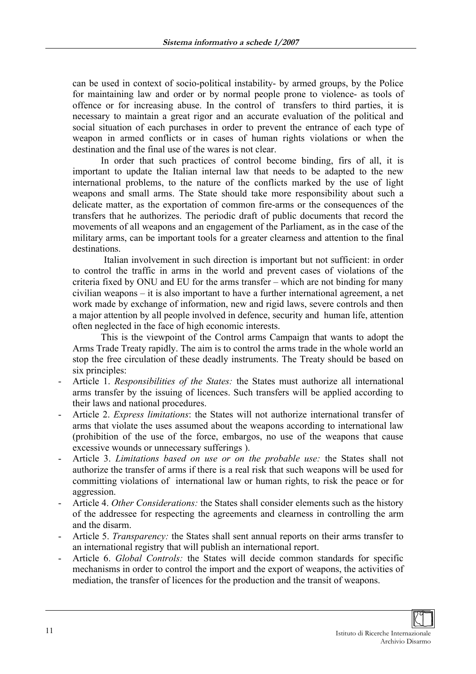can be used in context of socio-political instability- by armed groups, by the Police for maintaining law and order or by normal people prone to violence- as tools of offence or for increasing abuse. In the control of transfers to third parties, it is necessary to maintain a great rigor and an accurate evaluation of the political and social situation of each purchases in order to prevent the entrance of each type of weapon in armed conflicts or in cases of human rights violations or when the destination and the final use of the wares is not clear.

In order that such practices of control become binding, firs of all, it is important to update the Italian internal law that needs to be adapted to the new international problems, to the nature of the conflicts marked by the use of light weapons and small arms. The State should take more responsibility about such a delicate matter, as the exportation of common fire-arms or the consequences of the transfers that he authorizes. The periodic draft of public documents that record the movements of all weapons and an engagement of the Parliament, as in the case of the military arms, can be important tools for a greater clearness and attention to the final destinations.

Italian involvement in such direction is important but not sufficient: in order to control the traffic in arms in the world and prevent cases of violations of the criteria fixed by ONU and EU for the arms transfer – which are not binding for many civilian weapons – it is also important to have a further international agreement, a net work made by exchange of information, new and rigid laws, severe controls and then a major attention by all people involved in defence, security and human life, attention often neglected in the face of high economic interests.

This is the viewpoint of the Control arms Campaign that wants to adopt the Arms Trade Treaty rapidly. The aim is to control the arms trade in the whole world an stop the free circulation of these deadly instruments. The Treaty should be based on six principles:

- Article 1. *Responsibilities of the States:* the States must authorize all international arms transfer by the issuing of licences. Such transfers will be applied according to their laws and national procedures.
- Article 2. *Express limitations*: the States will not authorize international transfer of arms that violate the uses assumed about the weapons according to international law (prohibition of the use of the force, embargos, no use of the weapons that cause excessive wounds or unnecessary sufferings ).
- Article 3. *Limitations based on use or on the probable use:* the States shall not authorize the transfer of arms if there is a real risk that such weapons will be used for committing violations of international law or human rights, to risk the peace or for aggression.
- Article 4. *Other Considerations:* the States shall consider elements such as the history of the addressee for respecting the agreements and clearness in controlling the arm and the disarm.
- Article 5. *Transparency:* the States shall sent annual reports on their arms transfer to an international registry that will publish an international report.
- Article 6. *Global Controls:* the States will decide common standards for specific mechanisms in order to control the import and the export of weapons, the activities of mediation, the transfer of licences for the production and the transit of weapons.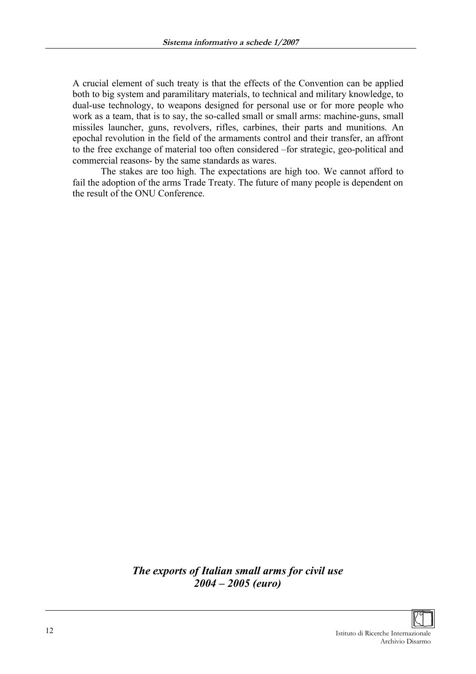A crucial element of such treaty is that the effects of the Convention can be applied both to big system and paramilitary materials, to technical and military knowledge, to dual-use technology, to weapons designed for personal use or for more people who work as a team, that is to say, the so-called small or small arms: machine-guns, small missiles launcher, guns, revolvers, rifles, carbines, their parts and munitions. An epochal revolution in the field of the armaments control and their transfer, an affront to the free exchange of material too often considered –for strategic, geo-political and commercial reasons- by the same standards as wares.

The stakes are too high. The expectations are high too. We cannot afford to fail the adoption of the arms Trade Treaty. The future of many people is dependent on the result of the ONU Conference.

> *The exports of Italian small arms for civil use 2004 – 2005 (euro)*

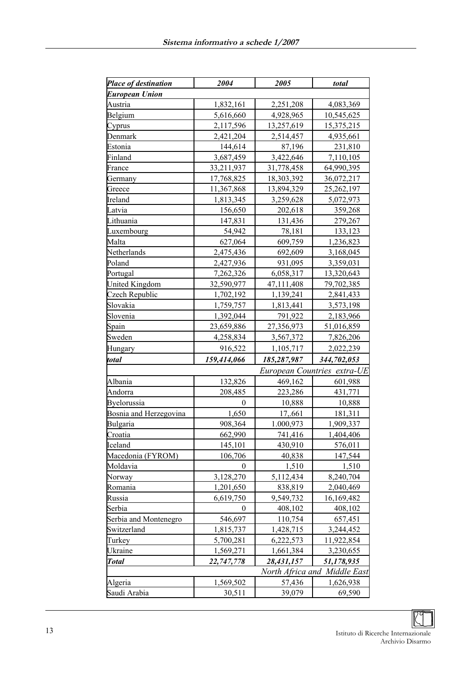| Place of destination   | 2004             | 2005        | total                        |
|------------------------|------------------|-------------|------------------------------|
| <b>European Union</b>  |                  |             |                              |
| Austria                | 1,832,161        | 2,251,208   | 4,083,369                    |
| Belgium                | 5,616,660        | 4,928,965   | 10,545,625                   |
| Cyprus                 | 2,117,596        | 13,257,619  | 15,375,215                   |
| Denmark                | 2,421,204        | 2,514,457   | 4,935,661                    |
| Estonia                | 144,614          | 87,196      | 231,810                      |
| Finland                | 3,687,459        | 3,422,646   | 7,110,105                    |
| France                 | 33,211,937       | 31,778,458  | 64,990,395                   |
| Germany                | 17,768,825       | 18,303,392  | 36,072,217                   |
| Greece                 | 11,367,868       | 13,894,329  | 25,262,197                   |
| Ireland                | 1,813,345        | 3,259,628   | 5,072,973                    |
| Latvia                 | 156,650          | 202,618     | 359,268                      |
| Lithuania              | 147,831          | 131,436     | 279,267                      |
| Luxembourg             | 54,942           | 78,181      | 133,123                      |
| Malta                  | 627,064          | 609,759     | 1,236,823                    |
| Netherlands            | 2,475,436        | 692,609     | 3,168,045                    |
| Poland                 | 2,427,936        | 931,095     | 3,359,031                    |
| Portugal               | 7,262,326        | 6,058,317   | 13,320,643                   |
| <b>United Kingdom</b>  | 32,590,977       | 47,111,408  | 79,702,385                   |
| Czech Republic         | 1,702,192        | 1,139,241   | 2,841,433                    |
| Slovakia               | 1,759,757        | 1,813,441   | 3,573,198                    |
| Slovenia               | 1,392,044        | 791,922     | 2,183,966                    |
| Spain                  | 23,659,886       | 27,356,973  | 51,016,859                   |
| Sweden                 | 4,258,834        | 3,567,372   | 7,826,206                    |
| Hungary                | 916,522          | 1,105,717   | 2,022,239                    |
| total                  | 159,414,066      | 185,287,987 | 344,702,053                  |
|                        |                  |             | European Countries extra-UE  |
| Albania                | 132,826          | 469,162     | 601,988                      |
| Andorra                | 208,485          | 223,286     | 431,771                      |
| Byelorussia            | $\boldsymbol{0}$ | 10,888      | 10,888                       |
| Bosnia and Herzegovina | 1,650            | 17,.661     | 181,311                      |
| Bulgaria               | 908,364          | 1.000,973   | 1,909,337                    |
| Croatia                | 662,990          | 741,416     | 1,404,406                    |
| Iceland                | 145,101          | 430,910     | 576,011                      |
| Macedonia (FYROM)      | 106,706          | 40,838      | 147,544                      |
| Moldavia               | $\theta$         | 1,510       | 1,510                        |
| Norway                 | 3,128,270        | 5,112,434   | 8,240,704                    |
| Romania                | 1,201,650        | 838,819     | 2,040,469                    |
| Russia                 | 6,619,750        | 9,549,732   | 16,169,482                   |
| Serbia                 | 0                | 408,102     | 408,102                      |
| Serbia and Montenegro  | 546,697          | 110,754     | 657,451                      |
| Switzerland            | 1,815,737        | 1,428,715   | 3,244,452                    |
| Turkey                 | 5,700,281        | 6,222,573   | 11,922,854                   |
| Ukraine                | 1,569,271        | 1,661,384   | 3,230,655                    |
| <b>Total</b>           | 22,747,778       | 28,431,157  | 51,178,935                   |
|                        |                  |             | North Africa and Middle East |
| Algeria                | 1,569,502        | 57,436      | 1,626,938                    |
| Saudi Arabia           | 30,511           | 39,079      | 69,590                       |
|                        |                  |             |                              |

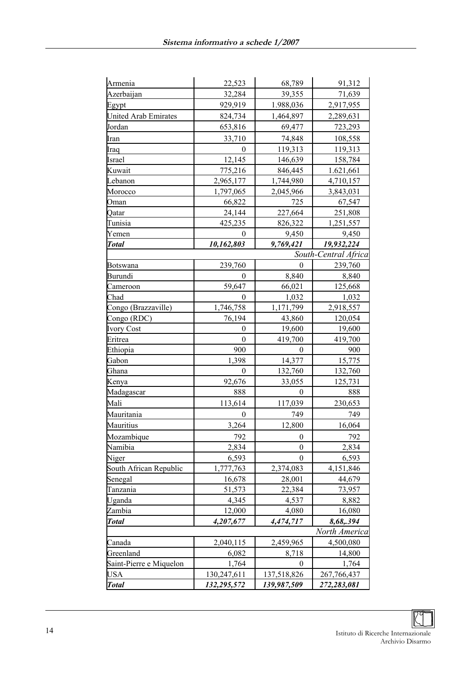| Armenia                 | 22,523               | 68,789               | 91,312                 |
|-------------------------|----------------------|----------------------|------------------------|
| Azerbaijan              | 32,284               | 39,355               | 71,639                 |
| Egypt                   | 929,919              | 1.988,036            | 2,917,955              |
| United Arab Emirates    | 824,734              | 1,464,897            | 2,289,631              |
| Jordan                  | 653,816              | 69,477               | 723,293                |
|                         | 33,710               | 74,848               | 108,558                |
| Iran                    | $\theta$             | 119,313              | 119,313                |
| Iraq                    | 12,145               | 146,639              | 158,784                |
| Israel                  |                      |                      |                        |
| Kuwait<br>Lebanon       | 775,216<br>2,965,177 | 846,445<br>1,744,980 | 1.621,661<br>4,710,157 |
| Morocco                 | 1,797,065            |                      |                        |
|                         |                      | 2,045,966<br>725     | 3,843,031<br>67,547    |
| Oman                    | 66,822<br>24,144     |                      |                        |
| Qatar                   |                      | 227,664              | 251,808                |
| Tunisia                 | 425,235<br>$\theta$  | 826,322<br>9,450     | 1,251,557<br>9,450     |
| Yemen                   | 10,162,803           | 9,769,421            | 19,932,224             |
| <b>Total</b>            |                      |                      | South-Central Africa   |
| Botswana                | 239,760              | 0                    | 239,760                |
| Burundi                 | 0                    | 8,840                | 8,840                  |
| Cameroon                | 59,647               | 66,021               | 125,668                |
| Chad                    | 0                    | 1,032                | 1,032                  |
| Congo (Brazzaville)     | 1,746,758            | 1,171,799            | 2,918,557              |
| Congo (RDC)             | 76,194               | 43,860               | 120,054                |
| <b>Ivory Cost</b>       | $\boldsymbol{0}$     | 19,600               | 19,600                 |
| Eritrea                 | $\boldsymbol{0}$     | 419,700              | 419,700                |
| Ethiopia                | 900                  | $\theta$             | 900                    |
| Gabon                   | 1,398                | 14,377               | 15,775                 |
| Ghana                   | $\theta$             | 132,760              | 132,760                |
| Kenya                   | 92,676               | 33,055               | 125,731                |
| Madagascar              | 888                  | $\boldsymbol{0}$     | 888                    |
| Mali                    | 113,614              | 117,039              | 230,653                |
| Mauritania              | 0                    | 749                  | 749                    |
| Mauritius               | 3,264                | 12,800               | 16,064                 |
| Mozambique              | 792                  | $\boldsymbol{0}$     | 792                    |
| Namibia                 | 2,834                | $\boldsymbol{0}$     | 2,834                  |
| Niger                   | 6,593                | 0                    | 6,593                  |
| South African Republic  | 1,777,763            | 2,374,083            | 4,151,846              |
| Senegal                 | 16,678               | 28,001               | 44,679                 |
| Tanzania                | 51,573               | 22,384               | 73,957                 |
| Uganda                  | 4,345                | 4,537                | 8,882                  |
| Zambia                  | 12,000               | 4,080                | 16,080                 |
| <b>Total</b>            | 4,207,677            | 4,474,717            | 8,68,.394              |
|                         |                      |                      | North America          |
| Canada                  | 2,040,115            | 2,459,965            | 4,500,080              |
| Greenland               | 6,082                | 8,718                | 14,800                 |
| Saint-Pierre e Miquelon | 1,764                | $\theta$             | 1,764                  |
| <b>USA</b>              | 130,247,611          | 137,518,826          | 267,766,437            |
| <b>Total</b>            | 132,295,572          | 139,987,509          | 272,283,081            |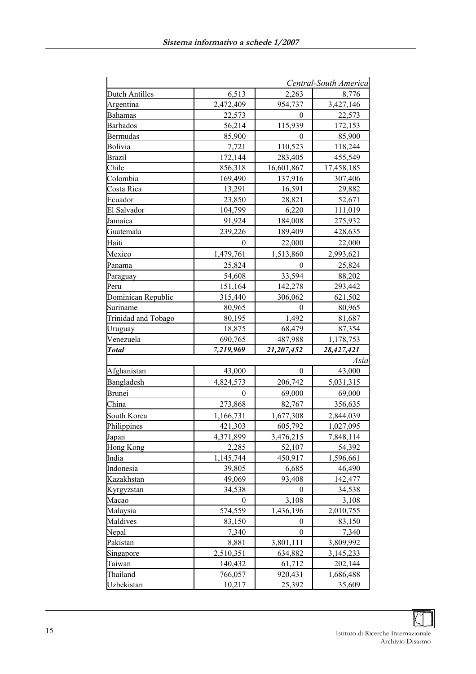|                       |           |                  | Central-South America |
|-----------------------|-----------|------------------|-----------------------|
| <b>Dutch Antilles</b> | 6,513     | 2,263            | 8,776                 |
| Argentina             | 2,472,409 | 954,737          | 3,427,146             |
| <b>Bahamas</b>        | 22,573    | $\theta$         | 22,573                |
| <b>Barbados</b>       | 56,214    | 115,939          | 172,153               |
| <b>Bermudas</b>       | 85,900    | 0                | 85,900                |
| Bolivia               | 7,721     | 110,523          | 118,244               |
| Brazil                | 172,144   | 283,405          | 455,549               |
| Chile                 | 856,318   | 16,601,867       | 17,458,185            |
| Colombia              | 169,490   | 137,916          | 307,406               |
| Costa Rica            | 13,291    | 16,591           | 29,882                |
| Ecuador               | 23,850    | 28,821           | 52,671                |
| El Salvador           | 104,799   | 6,220            | 111,019               |
| Jamaica               | 91,924    | 184,008          | 275,932               |
| Guatemala             | 239,226   | 189,409          | 428,635               |
| Haiti                 | 0         | 22,000           | 22,000                |
| Mexico                | 1,479,761 | 1,513,860        | 2,993,621             |
| Panama                | 25,824    | 0                | 25,824                |
| Paraguay              | 54,608    | 33,594           | 88,202                |
| Peru                  | 151,164   | 142,278          | 293,442               |
| Dominican Republic    | 315,440   | 306,062          | 621,502               |
| Suriname              | 80,965    | $\theta$         | 80,965                |
| Trinidad and Tobago   | 80,195    | 1,492            | 81,687                |
| Uruguay               | 18,875    | 68,479           | 87,354                |
| Venezuela             | 690,765   | 487,988          | 1,178,753             |
| Total                 | 7,219,969 | 21,207,452       | 28,427,421            |
|                       |           |                  | Asia                  |
| Afghanistan           | 43,000    | $\mathbf{0}$     | 43,000                |
| Bangladesh            | 4,824,573 | 206,742          | 5,031,315             |
| Brunei                | $\theta$  | 69,000           | 69,000                |
| China                 | 273,868   | 82,767           | 356,635               |
| South Korea           | 1,166,731 | 1,677,308        | 2,844,039             |
| Philippines           | 421,303   | 605,792          | 1,027,095             |
| Japan                 | 4,371,899 | 3,476,215        | 7,848,114             |
| Hong Kong             | 2,285     | 52,107           | 54,392                |
| India                 | 1,145,744 | 450,917          | 1,596,661             |
| Indonesia             | 39,805    | 6,685            | 46,490                |
| Kazakhstan            | 49,069    | 93,408           | 142,477               |
| Kyrgyzstan            | 34,538    | 0                | 34,538                |
| Macao                 | 0         | 3,108            | 3,108                 |
| Malaysia              | 574,559   | 1,436,196        | 2,010,755             |
| Maldives              | 83,150    | $\boldsymbol{0}$ | 83,150                |
| Nepal                 | 7,340     | $\boldsymbol{0}$ | 7,340                 |
| Pakistan              | 8,881     | 3,801,111        | 3,809,992             |
| Singapore             | 2,510,351 | 634,882          | 3,145,233             |
| Taiwan                | 140,432   | 61,712           | 202,144               |
| Thailand              | 766,057   | 920,431          | 1,686,488             |
| Uzbekistan            | 10,217    | 25,392           | 35,609                |